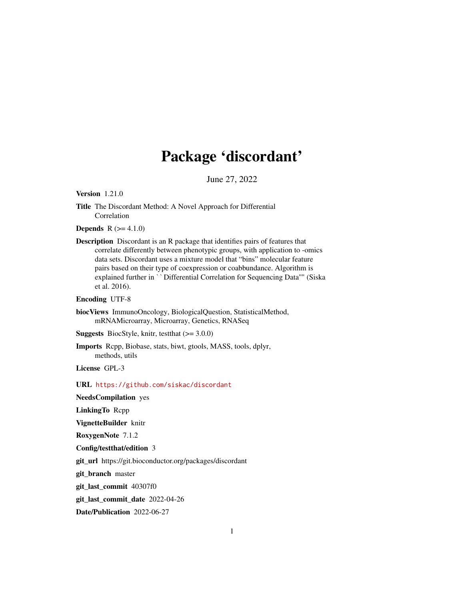# Package 'discordant'

June 27, 2022

Version 1.21.0

**Depends**  $R (= 4.1.0)$ 

Description Discordant is an R package that identifies pairs of features that correlate differently between phenotypic groups, with application to -omics data sets. Discordant uses a mixture model that "bins" molecular feature pairs based on their type of coexpression or coabbundance. Algorithm is explained timestering between phenotypic groups, what application to -onlies<br>data sets. Discordant uses a mixture model that "bins" molecular feature<br>pairs based on their type of coexpression or coabbundance. Algorithm is<br> et al. 2016).

Encoding UTF-8

biocViews ImmunoOncology, BiologicalQuestion, StatisticalMethod, mRNAMicroarray, Microarray, Genetics, RNASeq

**Suggests** BiocStyle, knitr, testthat  $(>= 3.0.0)$ 

Imports Rcpp, Biobase, stats, biwt, gtools, MASS, tools, dplyr, methods, utils

License GPL-3

URL <https://github.com/siskac/discordant>

NeedsCompilation yes

LinkingTo Rcpp

VignetteBuilder knitr

RoxygenNote 7.1.2

Config/testthat/edition 3

git\_url https://git.bioconductor.org/packages/discordant

git\_branch master

git\_last\_commit 40307f0

git\_last\_commit\_date 2022-04-26

Date/Publication 2022-06-27

Title The Discordant Method: A Novel Approach for Differential Correlation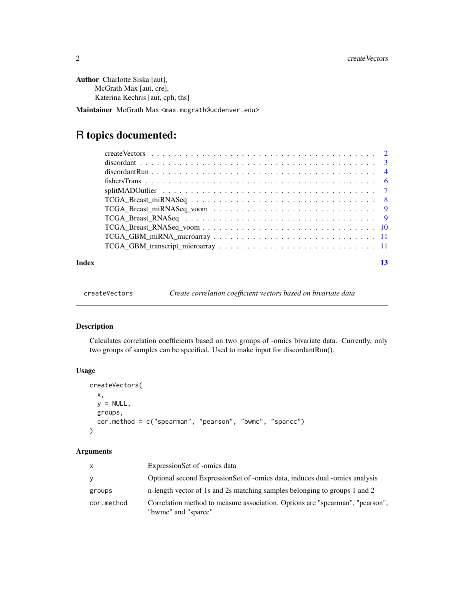<span id="page-1-0"></span>Author Charlotte Siska [aut], McGrath Max [aut, cre], Katerina Kechris [aut, cph, ths]

Maintainer McGrath Max <max.mcgrath@ucdenver.edu>

## R topics documented:

|       | $TCGA\_Breat\_RNASEq\_voom \ldots \ldots \ldots \ldots \ldots \ldots \ldots \ldots \ldots \ldots 10$                         |    |
|-------|------------------------------------------------------------------------------------------------------------------------------|----|
|       | $TCGA_GBM_mirRNA_microarray \dots \dots \dots \dots \dots \dots \dots \dots \dots \dots \dots \dots \dots \dots \dots \dots$ |    |
|       |                                                                                                                              |    |
|       |                                                                                                                              |    |
| Index |                                                                                                                              | 13 |

```
createVectors Create correlation coefficient vectors based on bivariate data
```
#### Description

Calculates correlation coefficients based on two groups of -omics bivariate data. Currently, only two groups of samples can be specified. Used to make input for discordantRun().

#### Usage

```
createVectors(
  x,
  y = NULL,groups,
  cor.method = c("spearman", "pearson", "bwmc", "sparcc")
\mathcal{E}
```
#### Arguments

| X          | ExpressionSet of -omics data                                                                         |
|------------|------------------------------------------------------------------------------------------------------|
| y          | Optional second ExpressionSet of -omics data, induces dual -omics analysis                           |
| groups     | n-length vector of 1s and 2s matching samples belonging to groups 1 and 2                            |
| cor.method | Correlation method to measure association. Options are "spearman", "pearson",<br>"bwmc" and "sparce" |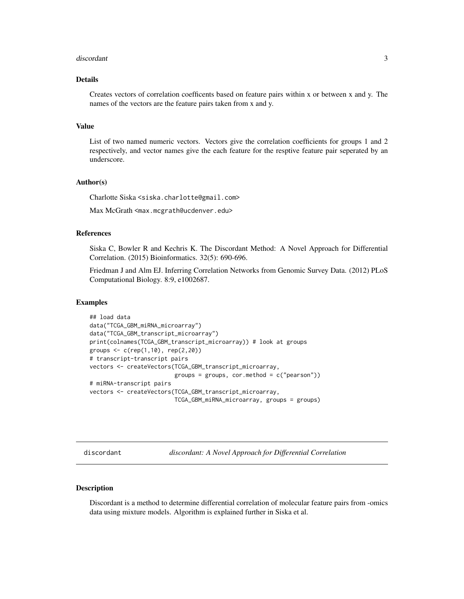#### <span id="page-2-0"></span>discordant 3

#### Details

Creates vectors of correlation coefficents based on feature pairs within x or between x and y. The names of the vectors are the feature pairs taken from x and y.

#### Value

List of two named numeric vectors. Vectors give the correlation coefficients for groups 1 and 2 respectively, and vector names give the each feature for the resptive feature pair seperated by an underscore.

#### Author(s)

Charlotte Siska <siska.charlotte@gmail.com>

Max McGrath <max.mcgrath@ucdenver.edu>

#### References

Siska C, Bowler R and Kechris K. The Discordant Method: A Novel Approach for Differential Correlation. (2015) Bioinformatics. 32(5): 690-696.

Friedman J and Alm EJ. Inferring Correlation Networks from Genomic Survey Data. (2012) PLoS Computational Biology. 8:9, e1002687.

#### Examples

```
## load data
data("TCGA_GBM_miRNA_microarray")
data("TCGA_GBM_transcript_microarray")
print(colnames(TCGA_GBM_transcript_microarray)) # look at groups
groups \leq c (rep(1,10), rep(2,20))
# transcript-transcript pairs
vectors <- createVectors(TCGA_GBM_transcript_microarray,
                         groups = groups, cor.method = c("pearson"))# miRNA-transcript pairs
vectors <- createVectors(TCGA_GBM_transcript_microarray,
                         TCGA_GBM_miRNA_microarray, groups = groups)
```
discordant *discordant: A Novel Approach for Differential Correlation*

#### Description

Discordant is a method to determine differential correlation of molecular feature pairs from -omics data using mixture models. Algorithm is explained further in Siska et al.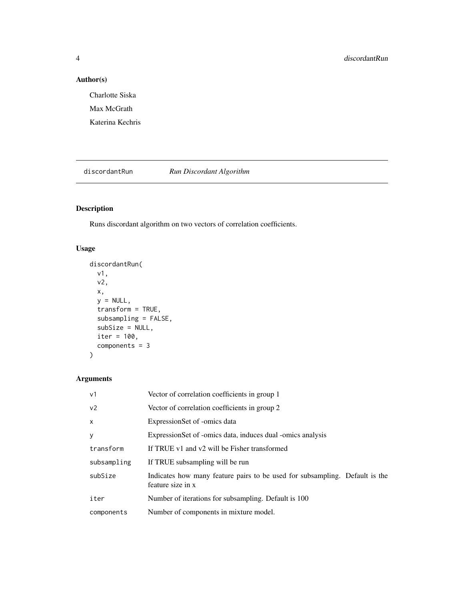#### Author(s)

Charlotte Siska Max McGrath Katerina Kechris

discordantRun *Run Discordant Algorithm*

#### Description

Runs discordant algorithm on two vectors of correlation coefficients.

#### Usage

```
discordantRun(
  v1,
  v2,
  x,
  y = NULL,transform = TRUE,
  subsampling = FALSE,
  subSize = NULL,
  iter = 100,
  components = 3
\overline{\phantom{a}}
```
#### Arguments

| v <sub>1</sub> | Vector of correlation coefficients in group 1                                                    |
|----------------|--------------------------------------------------------------------------------------------------|
| v <sub>2</sub> | Vector of correlation coefficients in group 2                                                    |
| $\mathsf{x}$   | ExpressionSet of -omics data                                                                     |
| y              | Expression Set of -omics data, induces dual -omics analysis                                      |
| transform      | If TRUE v1 and v2 will be Fisher transformed                                                     |
| subsampling    | If TRUE subsampling will be run                                                                  |
| subSize        | Indicates how many feature pairs to be used for subsampling. Default is the<br>feature size in x |
| iter           | Number of iterations for subsampling. Default is 100                                             |
| components     | Number of components in mixture model.                                                           |

<span id="page-3-0"></span>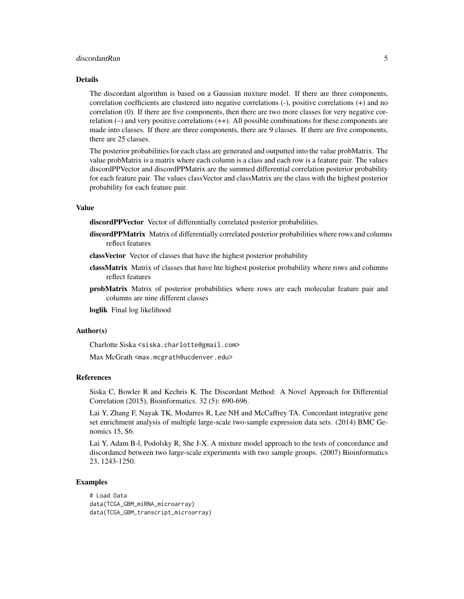#### discordantRun 5

#### Details

The discordant algorithm is based on a Gaussian mixture model. If there are three components, correlation coefficients are clustered into negative correlations (-), positive correlations (+) and no correlation (0). If there are five components, then there are two more classes for very negative correlation (–) and very positive correlations (++). All possible combinations for these components are made into classes. If there are three components, there are 9 classes. If there are five components, there are 25 classes.

The posterior probabilities for each class are generated and outputted into the value probMatrix. The value probMatrix is a matrix where each column is a class and each row is a feature pair. The values discordPPVector and discordPPMatrix are the summed differential correlation posterior probability for each feature pair. The values classVector and classMatrix are the class with the highest posterior probability for each feature pair.

#### Value

discordPPVector Vector of differentially correlated posterior probabilities.

- discordPPMatrix Matrix of differentially correlated posterior probabilities where rows and columns reflect features
- classVector Vector of classes that have the highest posterior probability
- classMatrix Matrix of classes that have hte highest posterior probability where rows and columns reflect features
- probMatrix Matrix of posterior probabilities where rows are each molecular feature pair and columns are nine different classes

loglik Final log likelihood

#### Author(s)

Charlotte Siska <siska.charlotte@gmail.com>

Max McGrath <max.mcgrath@ucdenver.edu>

#### References

Siska C, Bowler R and Kechris K. The Discordant Method: A Novel Approach for Differential Correlation (2015), Bioinformatics. 32 (5): 690-696.

Lai Y, Zhang F, Nayak TK, Modarres R, Lee NH and McCaffrey TA. Concordant integrative gene set enrichment analysis of multiple large-scale two-sample expression data sets. (2014) BMC Genomics 15, S6.

Lai Y, Adam B-l, Podolsky R, She J-X. A mixture model approach to the tests of concordance and discordancd between two large-scale experiments with two sample groups. (2007) Bioinformatics 23, 1243-1250.

#### Examples

```
# Load Data
data(TCGA_GBM_miRNA_microarray)
data(TCGA_GBM_transcript_microarray)
```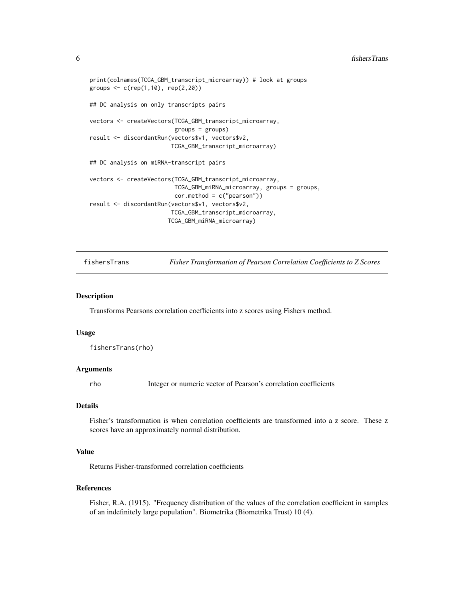#### <span id="page-5-0"></span>6 fishersTrans

```
print(colnames(TCGA_GBM_transcript_microarray)) # look at groups
groups \leq c (rep(1,10), rep(2,20))
## DC analysis on only transcripts pairs
vectors <- createVectors(TCGA_GBM_transcript_microarray,
                         groups = groups)
result <- discordantRun(vectors$v1, vectors$v2,
                        TCGA_GBM_transcript_microarray)
## DC analysis on miRNA-transcript pairs
vectors <- createVectors(TCGA_GBM_transcript_microarray,
                         TCGA_GBM_miRNA_microarray, groups = groups,
                         cor.method = c("pearson"))
result <- discordantRun(vectors$v1, vectors$v2,
                        TCGA_GBM_transcript_microarray,
                       TCGA_GBM_miRNA_microarray)
```
fishersTrans *Fisher Transformation of Pearson Correlation Coefficients to Z Scores*

#### Description

Transforms Pearsons correlation coefficients into z scores using Fishers method.

#### Usage

fishersTrans(rho)

#### Arguments

rho Integer or numeric vector of Pearson's correlation coefficients

#### Details

Fisher's transformation is when correlation coefficients are transformed into a z score. These z scores have an approximately normal distribution.

#### Value

Returns Fisher-transformed correlation coefficients

#### References

Fisher, R.A. (1915). "Frequency distribution of the values of the correlation coefficient in samples of an indefinitely large population". Biometrika (Biometrika Trust) 10 (4).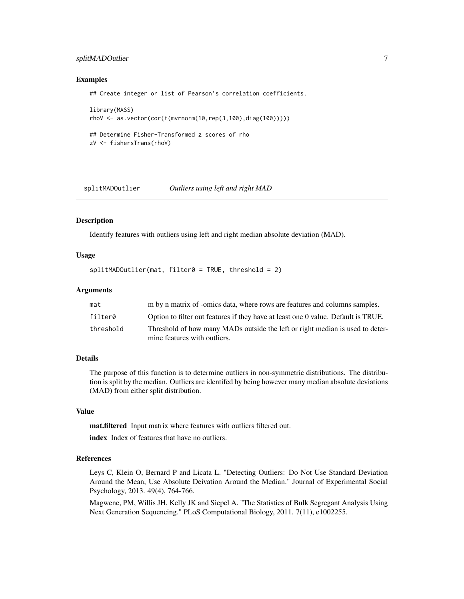#### <span id="page-6-0"></span>splitMADOutlier 7

#### Examples

## Create integer or list of Pearson's correlation coefficients.

```
library(MASS)
rhoV <- as.vector(cor(t(mvrnorm(10,rep(3,100),diag(100)))))
## Determine Fisher-Transformed z scores of rho
zV <- fishersTrans(rhoV)
```
splitMADOutlier *Outliers using left and right MAD*

#### **Description**

Identify features with outliers using left and right median absolute deviation (MAD).

#### Usage

splitMADOutlier(mat, filter0 = TRUE, threshold = 2)

#### Arguments

| mat       | m by n matrix of -omics data, where rows are features and columns samples.        |
|-----------|-----------------------------------------------------------------------------------|
| filter0   | Option to filter out features if they have at least one 0 value. Default is TRUE. |
| threshold | Threshold of how many MADs outside the left or right median is used to deter-     |
|           | mine features with outliers.                                                      |

#### Details

The purpose of this function is to determine outliers in non-symmetric distributions. The distribution is split by the median. Outliers are identifed by being however many median absolute deviations (MAD) from either split distribution.

#### Value

mat.filtered Input matrix where features with outliers filtered out.

index Index of features that have no outliers.

#### References

Leys C, Klein O, Bernard P and Licata L. "Detecting Outliers: Do Not Use Standard Deviation Around the Mean, Use Absolute Deivation Around the Median." Journal of Experimental Social Psychology, 2013. 49(4), 764-766.

Magwene, PM, Willis JH, Kelly JK and Siepel A. "The Statistics of Bulk Segregant Analysis Using Next Generation Sequencing." PLoS Computational Biology, 2011. 7(11), e1002255.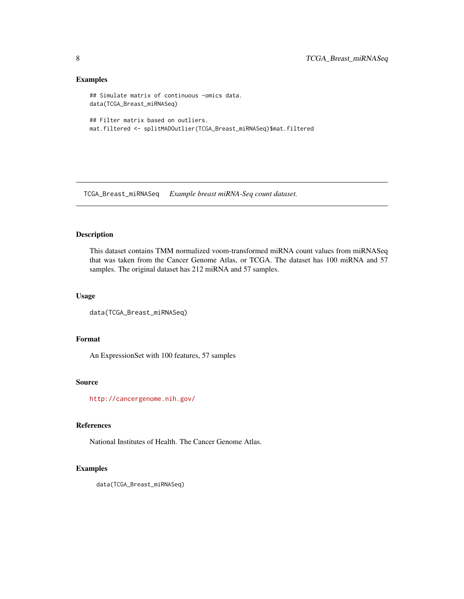#### Examples

```
## Simulate matrix of continuous -omics data.
data(TCGA_Breast_miRNASeq)
## Filter matrix based on outliers.
mat.filtered <- splitMADOutlier(TCGA_Breast_miRNASeq)$mat.filtered
```
TCGA\_Breast\_miRNASeq *Example breast miRNA-Seq count dataset.*

#### Description

This dataset contains TMM normalized voom-transformed miRNA count values from miRNASeq that was taken from the Cancer Genome Atlas, or TCGA. The dataset has 100 miRNA and 57 samples. The original dataset has 212 miRNA and 57 samples.

#### Usage

```
data(TCGA_Breast_miRNASeq)
```
#### Format

An ExpressionSet with 100 features, 57 samples

#### Source

<http://cancergenome.nih.gov/>

#### References

National Institutes of Health. The Cancer Genome Atlas.

#### Examples

data(TCGA\_Breast\_miRNASeq)

<span id="page-7-0"></span>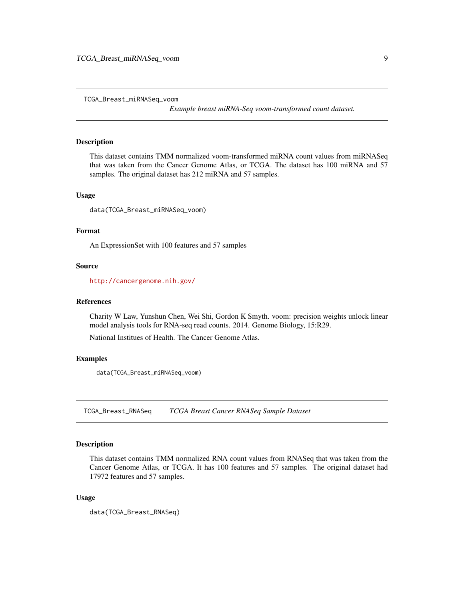<span id="page-8-0"></span>TCGA\_Breast\_miRNASeq\_voom

*Example breast miRNA-Seq voom-transformed count dataset.*

#### Description

This dataset contains TMM normalized voom-transformed miRNA count values from miRNASeq that was taken from the Cancer Genome Atlas, or TCGA. The dataset has 100 miRNA and 57 samples. The original dataset has 212 miRNA and 57 samples.

#### Usage

data(TCGA\_Breast\_miRNASeq\_voom)

#### Format

An ExpressionSet with 100 features and 57 samples

#### Source

<http://cancergenome.nih.gov/>

#### References

Charity W Law, Yunshun Chen, Wei Shi, Gordon K Smyth. voom: precision weights unlock linear model analysis tools for RNA-seq read counts. 2014. Genome Biology, 15:R29.

National Institues of Health. The Cancer Genome Atlas.

#### Examples

data(TCGA\_Breast\_miRNASeq\_voom)

TCGA\_Breast\_RNASeq *TCGA Breast Cancer RNASeq Sample Dataset*

#### Description

This dataset contains TMM normalized RNA count values from RNASeq that was taken from the Cancer Genome Atlas, or TCGA. It has 100 features and 57 samples. The original dataset had 17972 features and 57 samples.

#### Usage

data(TCGA\_Breast\_RNASeq)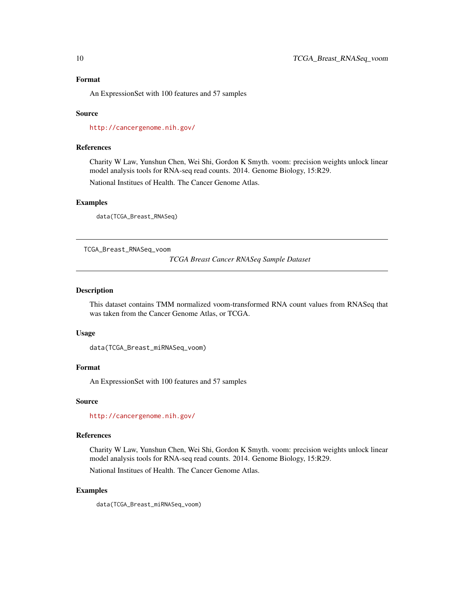#### <span id="page-9-0"></span>Format

An ExpressionSet with 100 features and 57 samples

#### Source

<http://cancergenome.nih.gov/>

#### References

Charity W Law, Yunshun Chen, Wei Shi, Gordon K Smyth. voom: precision weights unlock linear model analysis tools for RNA-seq read counts. 2014. Genome Biology, 15:R29.

National Institues of Health. The Cancer Genome Atlas.

#### Examples

data(TCGA\_Breast\_RNASeq)

TCGA\_Breast\_RNASeq\_voom

*TCGA Breast Cancer RNASeq Sample Dataset*

#### Description

This dataset contains TMM normalized voom-transformed RNA count values from RNASeq that was taken from the Cancer Genome Atlas, or TCGA.

#### Usage

```
data(TCGA_Breast_miRNASeq_voom)
```
#### Format

An ExpressionSet with 100 features and 57 samples

#### Source

<http://cancergenome.nih.gov/>

#### References

Charity W Law, Yunshun Chen, Wei Shi, Gordon K Smyth. voom: precision weights unlock linear model analysis tools for RNA-seq read counts. 2014. Genome Biology, 15:R29.

National Institues of Health. The Cancer Genome Atlas.

#### Examples

data(TCGA\_Breast\_miRNASeq\_voom)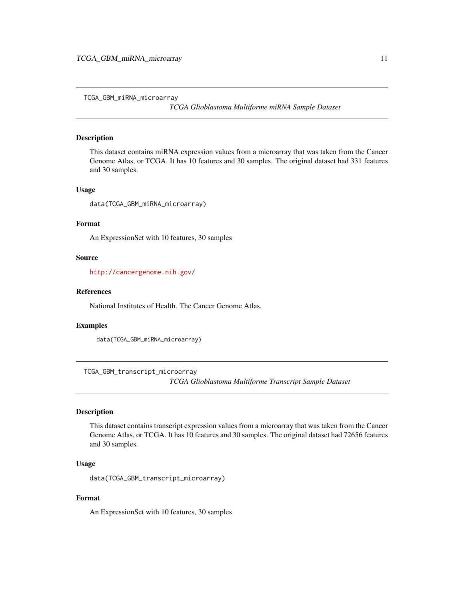<span id="page-10-0"></span>TCGA\_GBM\_miRNA\_microarray

*TCGA Glioblastoma Multiforme miRNA Sample Dataset*

#### Description

This dataset contains miRNA expression values from a microarray that was taken from the Cancer Genome Atlas, or TCGA. It has 10 features and 30 samples. The original dataset had 331 features and 30 samples.

#### Usage

data(TCGA\_GBM\_miRNA\_microarray)

#### Format

An ExpressionSet with 10 features, 30 samples

#### Source

<http://cancergenome.nih.gov/>

#### References

National Institutes of Health. The Cancer Genome Atlas.

#### Examples

data(TCGA\_GBM\_miRNA\_microarray)

TCGA\_GBM\_transcript\_microarray

*TCGA Glioblastoma Multiforme Transcript Sample Dataset*

#### Description

This dataset contains transcript expression values from a microarray that was taken from the Cancer Genome Atlas, or TCGA. It has 10 features and 30 samples. The original dataset had 72656 features and 30 samples.

#### Usage

data(TCGA\_GBM\_transcript\_microarray)

#### Format

An ExpressionSet with 10 features, 30 samples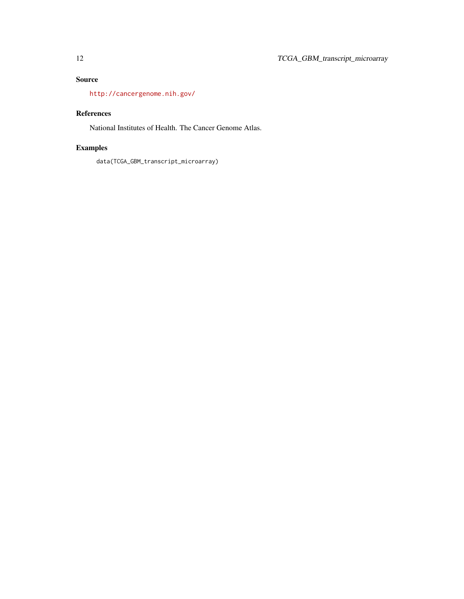#### Source

<http://cancergenome.nih.gov/>

#### References

National Institutes of Health. The Cancer Genome Atlas.

### Examples

data(TCGA\_GBM\_transcript\_microarray)